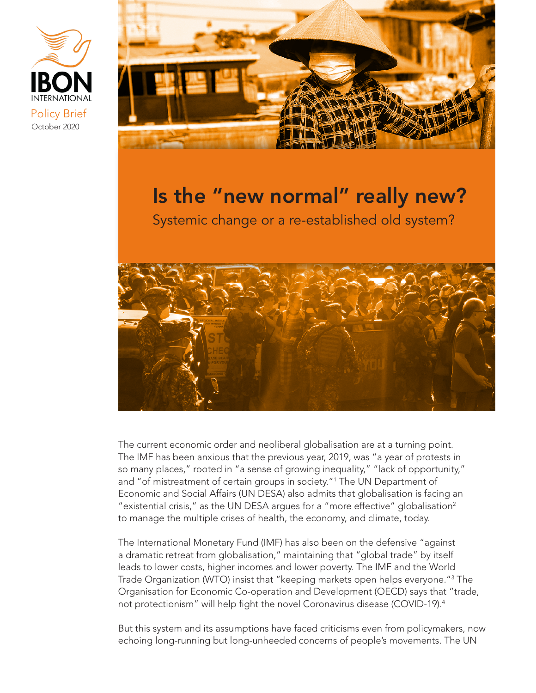



# Is the "new normal" really new?

Systemic change or a re-established old system?



The current economic order and neoliberal globalisation are at a turning point. The IMF has been anxious that the previous year, 2019, was "a year of protests in so many places," rooted in "a sense of growing inequality," "lack of opportunity," and "of mistreatment of certain groups in society."1 The UN Department of Economic and Social Affairs (UN DESA) also admits that globalisation is facing an "existential crisis," as the UN DESA arques for a "more effective" globalisation<sup>2</sup> to manage the multiple crises of health, the economy, and climate, today.

The International Monetary Fund (IMF) has also been on the defensive "against a dramatic retreat from globalisation," maintaining that "global trade" by itself leads to lower costs, higher incomes and lower poverty. The IMF and the World Trade Organization (WTO) insist that "keeping markets open helps everyone."3 The Organisation for Economic Co-operation and Development (OECD) says that "trade, not protectionism" will help fight the novel Coronavirus disease (COVID-19).4

But this system and its assumptions have faced criticisms even from policymakers, now echoing long-running but long-unheeded concerns of people's movements. The UN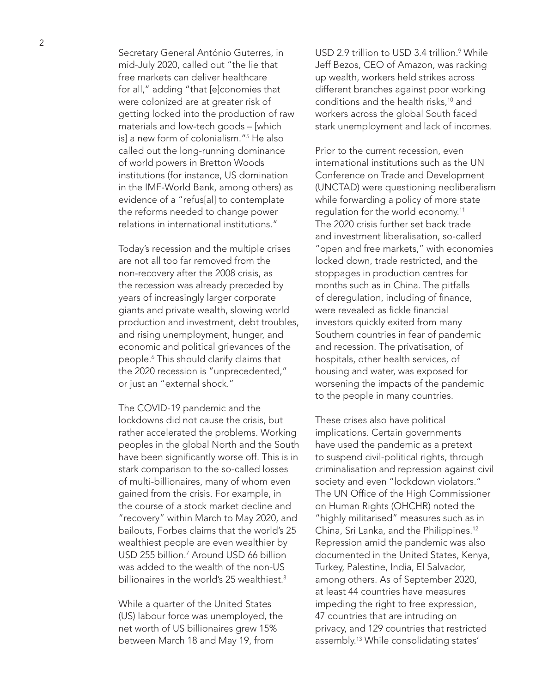Secretary General António Guterres, in mid-July 2020, called out "the lie that free markets can deliver healthcare for all," adding "that [e]conomies that were colonized are at greater risk of getting locked into the production of raw materials and low-tech goods – [which is] a new form of colonialism."5 He also called out the long-running dominance of world powers in Bretton Woods institutions (for instance, US domination in the IMF-World Bank, among others) as evidence of a "refus[al] to contemplate the reforms needed to change power relations in international institutions."

Today's recession and the multiple crises are not all too far removed from the non-recovery after the 2008 crisis, as the recession was already preceded by years of increasingly larger corporate giants and private wealth, slowing world production and investment, debt troubles, and rising unemployment, hunger, and economic and political grievances of the people.6 This should clarify claims that the 2020 recession is "unprecedented," or just an "external shock."

The COVID-19 pandemic and the lockdowns did not cause the crisis, but rather accelerated the problems. Working peoples in the global North and the South have been significantly worse off. This is in stark comparison to the so-called losses of multi-billionaires, many of whom even gained from the crisis. For example, in the course of a stock market decline and "recovery" within March to May 2020, and bailouts, Forbes claims that the world's 25 wealthiest people are even wealthier by USD 255 billion.7 Around USD 66 billion was added to the wealth of the non-US billionaires in the world's 25 wealthiest.<sup>8</sup>

While a quarter of the United States (US) labour force was unemployed, the net worth of US billionaires grew 15% between March 18 and May 19, from

USD 2.9 trillion to USD 3.4 trillion.<sup>9</sup> While Jeff Bezos, CEO of Amazon, was racking up wealth, workers held strikes across different branches against poor working conditions and the health risks,<sup>10</sup> and workers across the global South faced stark unemployment and lack of incomes.

Prior to the current recession, even international institutions such as the UN Conference on Trade and Development (UNCTAD) were questioning neoliberalism while forwarding a policy of more state regulation for the world economy.11 The 2020 crisis further set back trade and investment liberalisation, so-called "open and free markets," with economies locked down, trade restricted, and the stoppages in production centres for months such as in China. The pitfalls of deregulation, including of finance, were revealed as fickle financial investors quickly exited from many Southern countries in fear of pandemic and recession. The privatisation, of hospitals, other health services, of housing and water, was exposed for worsening the impacts of the pandemic to the people in many countries.

These crises also have political implications. Certain governments have used the pandemic as a pretext to suspend civil-political rights, through criminalisation and repression against civil society and even "lockdown violators." The UN Office of the High Commissioner on Human Rights (OHCHR) noted the "highly militarised" measures such as in China, Sri Lanka, and the Philippines.12 Repression amid the pandemic was also documented in the United States, Kenya, Turkey, Palestine, India, El Salvador, among others. As of September 2020, at least 44 countries have measures impeding the right to free expression, 47 countries that are intruding on privacy, and 129 countries that restricted assembly.13 While consolidating states'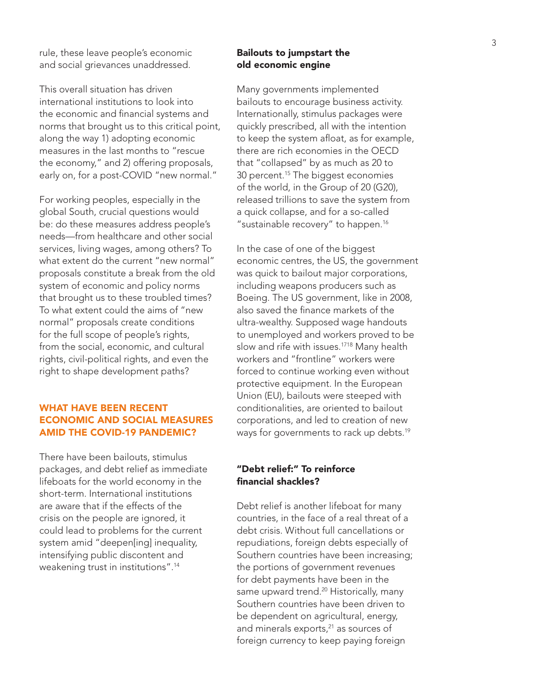rule, these leave people's economic and social grievances unaddressed.

This overall situation has driven international institutions to look into the economic and financial systems and norms that brought us to this critical point, along the way 1) adopting economic measures in the last months to "rescue the economy," and 2) offering proposals, early on, for a post-COVID "new normal."

For working peoples, especially in the global South, crucial questions would be: do these measures address people's needs—from healthcare and other social services, living wages, among others? To what extent do the current "new normal" proposals constitute a break from the old system of economic and policy norms that brought us to these troubled times? To what extent could the aims of "new normal" proposals create conditions for the full scope of people's rights, from the social, economic, and cultural rights, civil-political rights, and even the right to shape development paths?

# WHAT HAVE BEEN RECENT ECONOMIC AND SOCIAL MEASURES AMID THE COVID-19 PANDEMIC?

There have been bailouts, stimulus packages, and debt relief as immediate lifeboats for the world economy in the short-term. International institutions are aware that if the effects of the crisis on the people are ignored, it could lead to problems for the current system amid "deepen[ing] inequality, intensifying public discontent and weakening trust in institutions".14

# Bailouts to jumpstart the old economic engine

Many governments implemented bailouts to encourage business activity. Internationally, stimulus packages were quickly prescribed, all with the intention to keep the system afloat, as for example, there are rich economies in the OECD that "collapsed" by as much as 20 to 30 percent.<sup>15</sup> The biggest economies of the world, in the Group of 20 (G20), released trillions to save the system from a quick collapse, and for a so-called "sustainable recovery" to happen.<sup>16</sup>

In the case of one of the biggest economic centres, the US, the government was quick to bailout major corporations, including weapons producers such as Boeing. The US government, like in 2008, also saved the finance markets of the ultra-wealthy. Supposed wage handouts to unemployed and workers proved to be slow and rife with issues.<sup>1718</sup> Many health workers and "frontline" workers were forced to continue working even without protective equipment. In the European Union (EU), bailouts were steeped with conditionalities, are oriented to bailout corporations, and led to creation of new ways for governments to rack up debts.<sup>19</sup>

# "Debt relief:" To reinforce financial shackles?

Debt relief is another lifeboat for many countries, in the face of a real threat of a debt crisis. Without full cancellations or repudiations, foreign debts especially of Southern countries have been increasing; the portions of government revenues for debt payments have been in the same upward trend.<sup>20</sup> Historically, many Southern countries have been driven to be dependent on agricultural, energy, and minerals exports,<sup>21</sup> as sources of foreign currency to keep paying foreign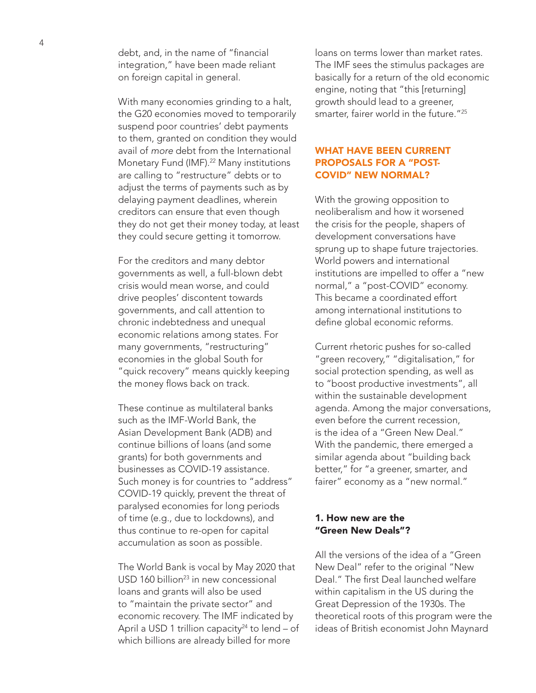debt, and, in the name of "financial integration," have been made reliant on foreign capital in general.

With many economies grinding to a halt, the G20 economies moved to temporarily suspend poor countries' debt payments to them, granted on condition they would avail of *more* debt from the International Monetary Fund (IMF).<sup>22</sup> Many institutions are calling to "restructure" debts or to adjust the terms of payments such as by delaying payment deadlines, wherein creditors can ensure that even though they do not get their money today, at least they could secure getting it tomorrow.

For the creditors and many debtor governments as well, a full-blown debt crisis would mean worse, and could drive peoples' discontent towards governments, and call attention to chronic indebtedness and unequal economic relations among states. For many governments, "restructuring" economies in the global South for "quick recovery" means quickly keeping the money flows back on track.

These continue as multilateral banks such as the IMF-World Bank, the Asian Development Bank (ADB) and continue billions of loans (and some grants) for both governments and businesses as COVID-19 assistance. Such money is for countries to "address" COVID-19 quickly, prevent the threat of paralysed economies for long periods of time (e.g., due to lockdowns), and thus continue to re-open for capital accumulation as soon as possible.

The World Bank is vocal by May 2020 that USD 160 billion<sup>23</sup> in new concessional loans and grants will also be used to "maintain the private sector" and economic recovery. The IMF indicated by April a USD 1 trillion capacity<sup>24</sup> to lend  $-$  of which billions are already billed for more

loans on terms lower than market rates. The IMF sees the stimulus packages are basically for a return of the old economic engine, noting that "this [returning] growth should lead to a greener, smarter, fairer world in the future."25

# WHAT HAVE BEEN CURRENT PROPOSALS FOR A "POST-COVID" NEW NORMAL?

With the growing opposition to neoliberalism and how it worsened the crisis for the people, shapers of development conversations have sprung up to shape future trajectories. World powers and international institutions are impelled to offer a "new normal," a "post-COVID" economy. This became a coordinated effort among international institutions to define global economic reforms.

Current rhetoric pushes for so-called "green recovery," "digitalisation," for social protection spending, as well as to "boost productive investments", all within the sustainable development agenda. Among the major conversations, even before the current recession, is the idea of a "Green New Deal." With the pandemic, there emerged a similar agenda about "building back better," for "a greener, smarter, and fairer" economy as a "new normal."

# 1. How new are the "Green New Deals"?

All the versions of the idea of a "Green New Deal" refer to the original "New Deal." The first Deal launched welfare within capitalism in the US during the Great Depression of the 1930s. The theoretical roots of this program were the ideas of British economist John Maynard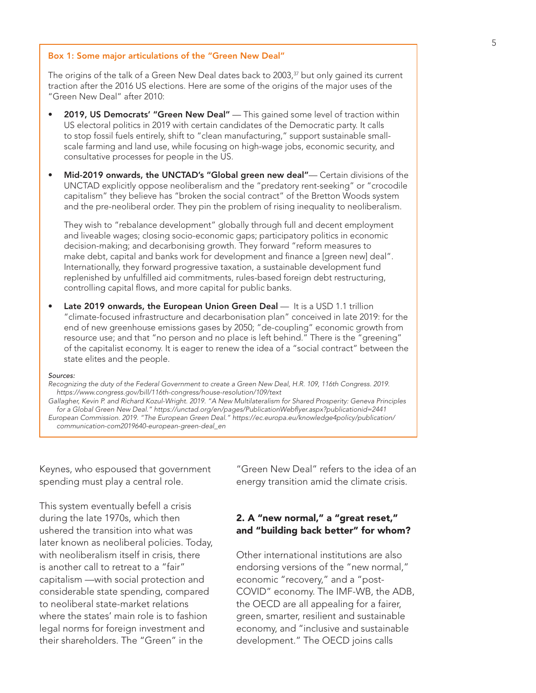### Box 1: Some major articulations of the "Green New Deal"

The origins of the talk of a Green New Deal dates back to 2003, $37$  but only gained its current traction after the 2016 US elections. Here are some of the origins of the major uses of the "Green New Deal" after 2010:

- 2019, US Democrats' "Green New Deal" This gained some level of traction within US electoral politics in 2019 with certain candidates of the Democratic party. It calls to stop fossil fuels entirely, shift to "clean manufacturing," support sustainable smallscale farming and land use, while focusing on high-wage jobs, economic security, and consultative processes for people in the US.
- Mid-2019 onwards, the UNCTAD's "Global green new deal"— Certain divisions of the UNCTAD explicitly oppose neoliberalism and the "predatory rent-seeking" or "crocodile capitalism" they believe has "broken the social contract" of the Bretton Woods system and the pre-neoliberal order. They pin the problem of rising inequality to neoliberalism.

They wish to "rebalance development" globally through full and decent employment and liveable wages; closing socio-economic gaps; participatory politics in economic decision-making; and decarbonising growth. They forward "reform measures to make debt, capital and banks work for development and finance a [green new] deal". Internationally, they forward progressive taxation, a sustainable development fund replenished by unfulfilled aid commitments, rules-based foreign debt restructuring, controlling capital flows, and more capital for public banks.

Late 2019 onwards, the European Union Green Deal — It is a USD 1.1 trillion "climate-focused infrastructure and decarbonisation plan" conceived in late 2019: for the end of new greenhouse emissions gases by 2050; "de-coupling" economic growth from resource use; and that "no person and no place is left behind." There is the "greening" of the capitalist economy. It is eager to renew the idea of a "social contract" between the state elites and the people.

#### *Sources:*

*Recognizing the duty of the Federal Government to create a Green New Deal, H.R. 109, 116th Congress. 2019. https://www.congress.gov/bill/116th-congress/house-resolution/109/text*

*Gallagher, Kevin P. and Richard Kozul-Wright. 2019. "A New Multilateralism for Shared Prosperity: Geneva Principles for a Global Green New Deal." https://unctad.org/en/pages/PublicationWebflyer.aspx?publicationid=2441 European Commission. 2019. "The European Green Deal." https://ec.europa.eu/knowledge4policy/publication/ communication-com2019640-european-green-deal\_en*

Keynes, who espoused that government spending must play a central role.

This system eventually befell a crisis during the late 1970s, which then ushered the transition into what was later known as neoliberal policies. Today, with neoliberalism itself in crisis, there is another call to retreat to a "fair" capitalism —with social protection and considerable state spending, compared to neoliberal state-market relations where the states' main role is to fashion legal norms for foreign investment and their shareholders. The "Green" in the

"Green New Deal" refers to the idea of an energy transition amid the climate crisis.

# 2. A "new normal," a "great reset," and "building back better" for whom?

Other international institutions are also endorsing versions of the "new normal," economic "recovery," and a "post-COVID" economy. The IMF-WB, the ADB, the OECD are all appealing for a fairer, green, smarter, resilient and sustainable economy, and "inclusive and sustainable development." The OECD joins calls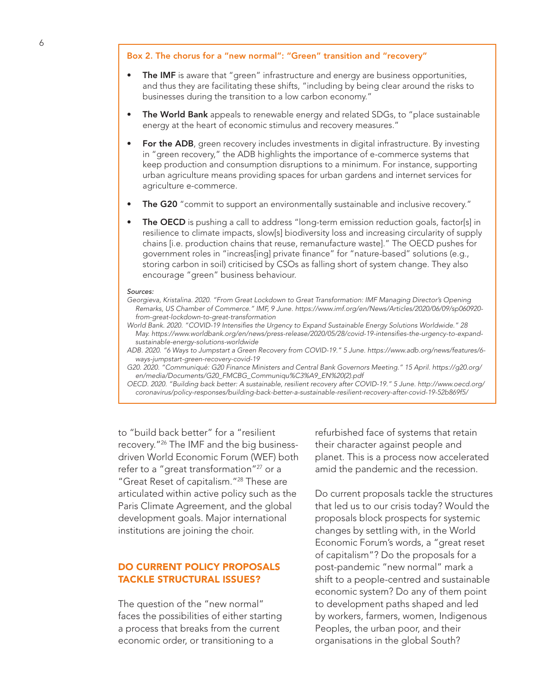### Box 2. The chorus for a "new normal": "Green" transition and "recovery"

- The IMF is aware that "green" infrastructure and energy are business opportunities, and thus they are facilitating these shifts, "including by being clear around the risks to businesses during the transition to a low carbon economy."
- The World Bank appeals to renewable energy and related SDGs, to "place sustainable energy at the heart of economic stimulus and recovery measures."
- For the ADB, green recovery includes investments in digital infrastructure. By investing in "green recovery," the ADB highlights the importance of e-commerce systems that keep production and consumption disruptions to a minimum. For instance, supporting urban agriculture means providing spaces for urban gardens and internet services for agriculture e-commerce.
- The G20 "commit to support an environmentally sustainable and inclusive recovery."
- The OECD is pushing a call to address "long-term emission reduction goals, factor[s] in resilience to climate impacts, slow[s] biodiversity loss and increasing circularity of supply chains [i.e. production chains that reuse, remanufacture waste]." The OECD pushes for government roles in "increas[ing] private finance" for "nature-based" solutions (e.g., storing carbon in soil) criticised by CSOs as falling short of system change. They also encourage "green" business behaviour.

#### *Sources:*

- *Georgieva, Kristalina. 2020. "From Great Lockdown to Great Transformation: IMF Managing Director's Opening Remarks, US Chamber of Commerce." IMF, 9 June. https://www.imf.org/en/News/Articles/2020/06/09/sp060920 from-great-lockdown-to-great-transformation*
- *World Bank. 2020. "COVID-19 Intensifies the Urgency to Expand Sustainable Energy Solutions Worldwide." 28 May. https://www.worldbank.org/en/news/press-release/2020/05/28/covid-19-intensifies-the-urgency-to-expandsustainable-energy-solutions-worldwide*
- *ADB. 2020. "6 Ways to Jumpstart a Green Recovery from COVID-19." 5 June. https://www.adb.org/news/features/6 ways-jumpstart-green-recovery-covid-19*

*G20. 2020. "Communiqué: G20 Finance Ministers and Central Bank Governors Meeting." 15 April. https://g20.org/ en/media/Documents/G20\_FMCBG\_Communiqu%C3%A9\_EN%20(2).pdf*

*OECD. 2020. "Building back better: A sustainable, resilient recovery after COVID-19." 5 June. http://www.oecd.org/ coronavirus/policy-responses/building-back-better-a-sustainable-resilient-recovery-after-covid-19-52b869f5/*

to "build back better" for a "resilient recovery."26 The IMF and the big businessdriven World Economic Forum (WEF) both refer to a "great transformation"<sup>27</sup> or a "Great Reset of capitalism."28 These are articulated within active policy such as the Paris Climate Agreement, and the global development goals. Major international institutions are joining the choir.

# DO CURRENT POLICY PROPOSALS TACKLE STRUCTURAL ISSUES?

The question of the "new normal" faces the possibilities of either starting a process that breaks from the current economic order, or transitioning to a

refurbished face of systems that retain their character against people and planet. This is a process now accelerated amid the pandemic and the recession.

Do current proposals tackle the structures that led us to our crisis today? Would the proposals block prospects for systemic changes by settling with, in the World Economic Forum's words, a "great reset of capitalism"? Do the proposals for a post-pandemic "new normal" mark a shift to a people-centred and sustainable economic system? Do any of them point to development paths shaped and led by workers, farmers, women, Indigenous Peoples, the urban poor, and their organisations in the global South?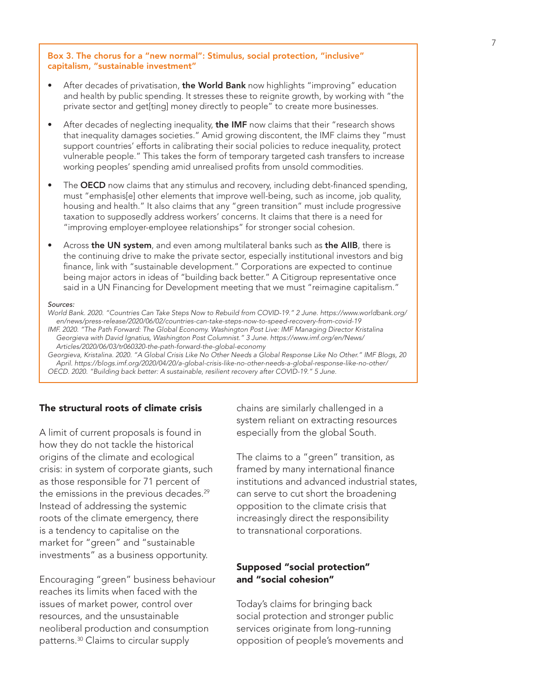## Box 3. The chorus for a "new normal": Stimulus, social protection, "inclusive" capitalism, "sustainable investment"

- After decades of privatisation, the World Bank now highlights "improving" education and health by public spending. It stresses these to reignite growth, by working with "the private sector and get[ting] money directly to people" to create more businesses.
- After decades of neglecting inequality, the IMF now claims that their "research shows that inequality damages societies." Amid growing discontent, the IMF claims they "must support countries' efforts in calibrating their social policies to reduce inequality, protect vulnerable people." This takes the form of temporary targeted cash transfers to increase working peoples' spending amid unrealised profits from unsold commodities.
- The OECD now claims that any stimulus and recovery, including debt-financed spending, must "emphasis[e] other elements that improve well-being, such as income, job quality, housing and health." It also claims that any "green transition" must include progressive taxation to supposedly address workers' concerns. It claims that there is a need for "improving employer-employee relationships" for stronger social cohesion.
- Across the UN system, and even among multilateral banks such as the AIIB, there is the continuing drive to make the private sector, especially institutional investors and big finance, link with "sustainable development." Corporations are expected to continue being major actors in ideas of "building back better." A Citigroup representative once said in a UN Financing for Development meeting that we must "reimagine capitalism."

#### *Sources:*

*World Bank. 2020. "Countries Can Take Steps Now to Rebuild from COVID-19." 2 June. https://www.worldbank.org/ en/news/press-release/2020/06/02/countries-can-take-steps-now-to-speed-recovery-from-covid-19*

*IMF. 2020. "The Path Forward: The Global Economy. Washington Post Live: IMF Managing Director Kristalina Georgieva with David Ignatius, Washington Post Columnist." 3 June. https://www.imf.org/en/News/ Articles/2020/06/03/tr060320-the-path-forward-the-global-economy*

*Georgieva, Kristalina. 2020. "A Global Crisis Like No Other Needs a Global Response Like No Other." IMF Blogs, 20 April. https://blogs.imf.org/2020/04/20/a-global-crisis-like-no-other-needs-a-global-response-like-no-other/ OECD. 2020. "Building back better: A sustainable, resilient recovery after COVID-19." 5 June.* 

# The structural roots of climate crisis

A limit of current proposals is found in how they do not tackle the historical origins of the climate and ecological crisis: in system of corporate giants, such as those responsible for 71 percent of the emissions in the previous decades. $29$ Instead of addressing the systemic roots of the climate emergency, there is a tendency to capitalise on the market for "green" and "sustainable investments" as a business opportunity.

Encouraging "green" business behaviour reaches its limits when faced with the issues of market power, control over resources, and the unsustainable neoliberal production and consumption patterns.30 Claims to circular supply

chains are similarly challenged in a system reliant on extracting resources especially from the global South.

The claims to a "green" transition, as framed by many international finance institutions and advanced industrial states, can serve to cut short the broadening opposition to the climate crisis that increasingly direct the responsibility to transnational corporations.

# Supposed "social protection" and "social cohesion"

Today's claims for bringing back social protection and stronger public services originate from long-running opposition of people's movements and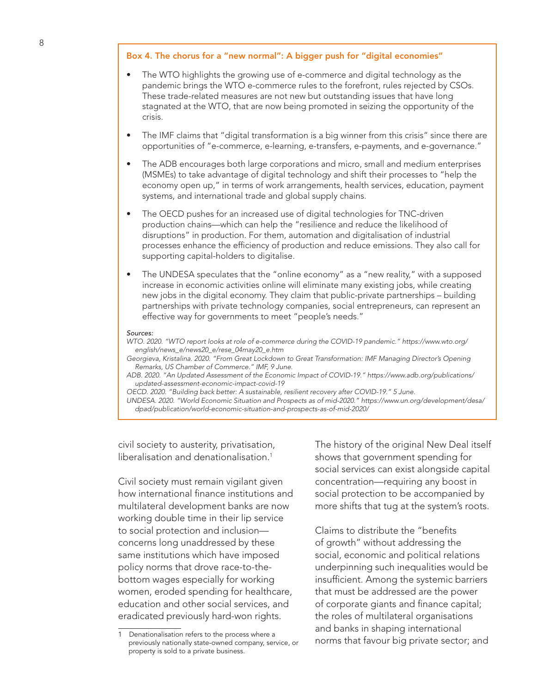## Box 4. The chorus for a "new normal": A bigger push for "digital economies"

- The WTO highlights the growing use of e-commerce and digital technology as the pandemic brings the WTO e-commerce rules to the forefront, rules rejected by CSOs. These trade-related measures are not new but outstanding issues that have long stagnated at the WTO, that are now being promoted in seizing the opportunity of the crisis.
- The IMF claims that "digital transformation is a big winner from this crisis" since there are opportunities of "e-commerce, e-learning, e-transfers, e-payments, and e-governance."
- The ADB encourages both large corporations and micro, small and medium enterprises (MSMEs) to take advantage of digital technology and shift their processes to "help the economy open up," in terms of work arrangements, health services, education, payment systems, and international trade and global supply chains.
- The OECD pushes for an increased use of digital technologies for TNC-driven production chains—which can help the "resilience and reduce the likelihood of disruptions" in production. For them, automation and digitalisation of industrial processes enhance the efficiency of production and reduce emissions. They also call for supporting capital-holders to digitalise.
- The UNDESA speculates that the "online economy" as a "new reality," with a supposed increase in economic activities online will eliminate many existing jobs, while creating new jobs in the digital economy. They claim that public-private partnerships – building partnerships with private technology companies, social entrepreneurs, can represent an effective way for governments to meet "people's needs."

#### *Sources:*

*WTO. 2020. "WTO report looks at role of e-commerce during the COVID-19 pandemic." https://www.wto.org/ english/news\_e/news20\_e/rese\_04may20\_e.htm*

*Georgieva, Kristalina. 2020. "From Great Lockdown to Great Transformation: IMF Managing Director's Opening Remarks, US Chamber of Commerce." IMF, 9 June.* 

*ADB. 2020. "An Updated Assessment of the Economic Impact of COVID-19." https://www.adb.org/publications/ updated-assessment-economic-impact-covid-19*

*OECD. 2020. "Building back better: A sustainable, resilient recovery after COVID-19." 5 June.* 

*UNDESA. 2020. "World Economic Situation and Prospects as of mid-2020." https://www.un.org/development/desa/ dpad/publication/world-economic-situation-and-prospects-as-of-mid-2020/*

civil society to austerity, privatisation, liberalisation and denationalisation.<sup>1</sup>

Civil society must remain vigilant given how international finance institutions and multilateral development banks are now working double time in their lip service to social protection and inclusion concerns long unaddressed by these same institutions which have imposed policy norms that drove race-to-thebottom wages especially for working women, eroded spending for healthcare, education and other social services, and eradicated previously hard-won rights.

The history of the original New Deal itself shows that government spending for social services can exist alongside capital concentration—requiring any boost in social protection to be accompanied by more shifts that tug at the system's roots.

Claims to distribute the "benefits of growth" without addressing the social, economic and political relations underpinning such inequalities would be insufficient. Among the systemic barriers that must be addressed are the power of corporate giants and finance capital; the roles of multilateral organisations and banks in shaping international norms that favour big private sector; and

<sup>1</sup> Denationalisation refers to the process where a previously nationally state-owned company, service, or property is sold to a private business.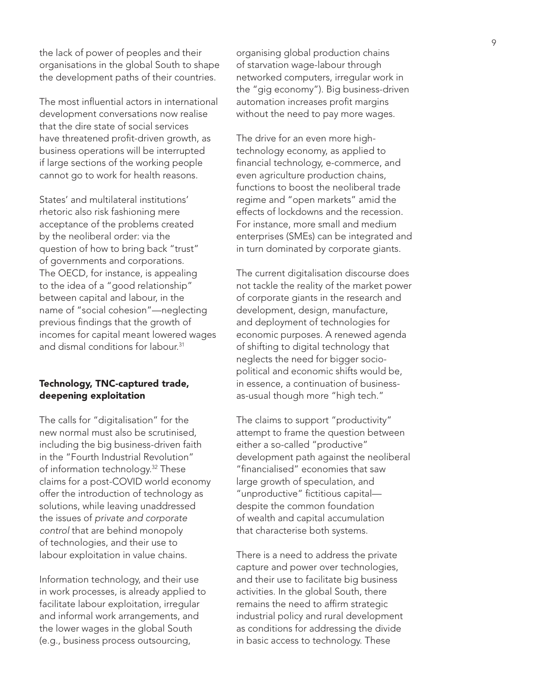the lack of power of peoples and their organisations in the global South to shape the development paths of their countries.

The most influential actors in international development conversations now realise that the dire state of social services have threatened profit-driven growth, as business operations will be interrupted if large sections of the working people cannot go to work for health reasons.

States' and multilateral institutions' rhetoric also risk fashioning mere acceptance of the problems created by the neoliberal order: via the question of how to bring back "trust" of governments and corporations. The OECD, for instance, is appealing to the idea of a "good relationship" between capital and labour, in the name of "social cohesion"—neglecting previous findings that the growth of incomes for capital meant lowered wages and dismal conditions for labour.<sup>31</sup>

# Technology, TNC-captured trade, deepening exploitation

The calls for "digitalisation" for the new normal must also be scrutinised, including the big business-driven faith in the "Fourth Industrial Revolution" of information technology.<sup>32</sup> These claims for a post-COVID world economy offer the introduction of technology as solutions, while leaving unaddressed the issues of *private and corporate control* that are behind monopoly of technologies, and their use to labour exploitation in value chains.

Information technology, and their use in work processes, is already applied to facilitate labour exploitation, irregular and informal work arrangements, and the lower wages in the global South (e.g., business process outsourcing,

organising global production chains of starvation wage-labour through networked computers, irregular work in the "gig economy"). Big business-driven automation increases profit margins without the need to pay more wages.

The drive for an even more hightechnology economy, as applied to financial technology, e-commerce, and even agriculture production chains, functions to boost the neoliberal trade regime and "open markets" amid the effects of lockdowns and the recession. For instance, more small and medium enterprises (SMEs) can be integrated and in turn dominated by corporate giants.

The current digitalisation discourse does not tackle the reality of the market power of corporate giants in the research and development, design, manufacture, and deployment of technologies for economic purposes. A renewed agenda of shifting to digital technology that neglects the need for bigger sociopolitical and economic shifts would be, in essence, a continuation of businessas-usual though more "high tech."

The claims to support "productivity" attempt to frame the question between either a so-called "productive" development path against the neoliberal "financialised" economies that saw large growth of speculation, and "unproductive" fictitious capital despite the common foundation of wealth and capital accumulation that characterise both systems.

There is a need to address the private capture and power over technologies, and their use to facilitate big business activities. In the global South, there remains the need to affirm strategic industrial policy and rural development as conditions for addressing the divide in basic access to technology. These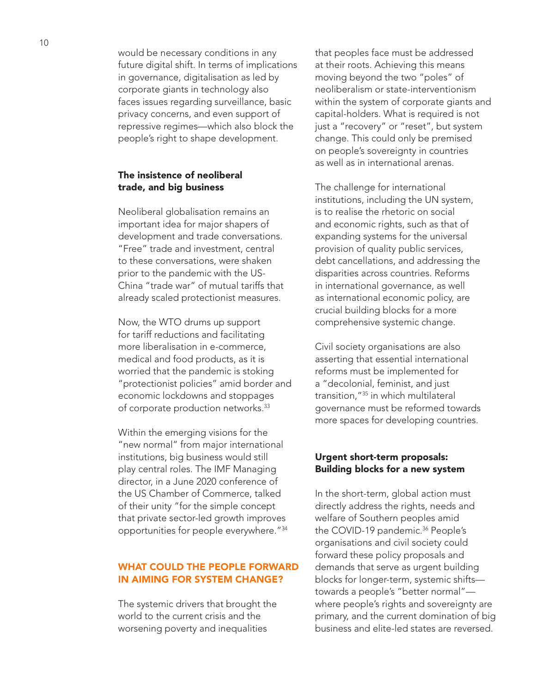would be necessary conditions in any future digital shift. In terms of implications in governance, digitalisation as led by corporate giants in technology also faces issues regarding surveillance, basic privacy concerns, and even support of repressive regimes—which also block the people's right to shape development.

# The insistence of neoliberal trade, and big business

Neoliberal globalisation remains an important idea for major shapers of development and trade conversations. "Free" trade and investment, central to these conversations, were shaken prior to the pandemic with the US-China "trade war" of mutual tariffs that already scaled protectionist measures.

Now, the WTO drums up support for tariff reductions and facilitating more liberalisation in e-commerce, medical and food products, as it is worried that the pandemic is stoking "protectionist policies" amid border and economic lockdowns and stoppages of corporate production networks.33

Within the emerging visions for the "new normal" from major international institutions, big business would still play central roles. The IMF Managing director, in a June 2020 conference of the US Chamber of Commerce, talked of their unity "for the simple concept that private sector-led growth improves opportunities for people everywhere."34

# WHAT COULD THE PEOPLE FORWARD IN AIMING FOR SYSTEM CHANGE?

The systemic drivers that brought the world to the current crisis and the worsening poverty and inequalities

that peoples face must be addressed at their roots. Achieving this means moving beyond the two "poles" of neoliberalism or state-interventionism within the system of corporate giants and capital-holders. What is required is not just a "recovery" or "reset", but system change. This could only be premised on people's sovereignty in countries as well as in international arenas.

The challenge for international institutions, including the UN system, is to realise the rhetoric on social and economic rights, such as that of expanding systems for the universal provision of quality public services, debt cancellations, and addressing the disparities across countries. Reforms in international governance, as well as international economic policy, are crucial building blocks for a more comprehensive systemic change.

Civil society organisations are also asserting that essential international reforms must be implemented for a "decolonial, feminist, and just transition,"35 in which multilateral governance must be reformed towards more spaces for developing countries.

# Urgent short-term proposals: Building blocks for a new system

In the short-term, global action must directly address the rights, needs and welfare of Southern peoples amid the COVID-19 pandemic.<sup>36</sup> People's organisations and civil society could forward these policy proposals and demands that serve as urgent building blocks for longer-term, systemic shifts towards a people's "better normal" where people's rights and sovereignty are primary, and the current domination of big business and elite-led states are reversed.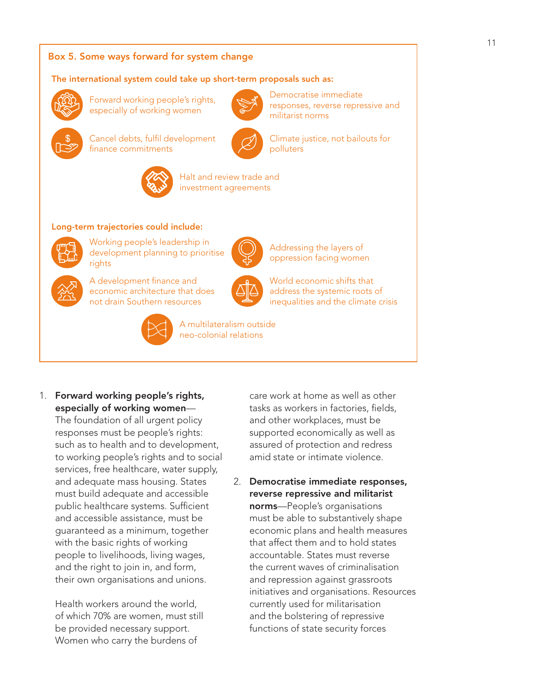# Box 5. Some ways forward for system change

## The international system could take up short-term proposals such as:



Forward working people's rights, especially of working women

Cancel debts, fulfil development



Democratise immediate responses, reverse repressive and militarist norms

Climate justice, not bailouts for polluters

Addressing the layers of oppression facing women

World economic shifts that address the systemic roots of inequalities and the climate crisis



Halt and review trade and investment agreements

## Long-term trajectories could include:

finance commitments



Working people's leadership in development planning to prioritise rights



A development finance and economic architecture that does not drain Southern resources



A multilateralism outside neo-colonial relations

1. Forward working people's rights, especially of working women—

The foundation of all urgent policy responses must be people's rights: such as to health and to development, to working people's rights and to social services, free healthcare, water supply, and adequate mass housing. States must build adequate and accessible public healthcare systems. Sufficient and accessible assistance, must be guaranteed as a minimum, together with the basic rights of working people to livelihoods, living wages, and the right to join in, and form, their own organisations and unions.

Health workers around the world, of which 70% are women, must still be provided necessary support. Women who carry the burdens of

care work at home as well as other tasks as workers in factories, fields, and other workplaces, must be supported economically as well as assured of protection and redress amid state or intimate violence.

2. Democratise immediate responses, reverse repressive and militarist norms—People's organisations must be able to substantively shape economic plans and health measures that affect them and to hold states accountable. States must reverse the current waves of criminalisation and repression against grassroots initiatives and organisations. Resources currently used for militarisation and the bolstering of repressive functions of state security forces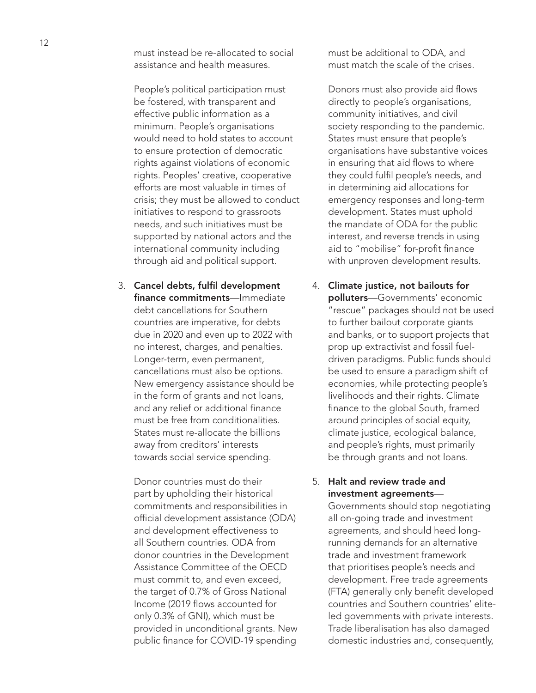must instead be re-allocated to social assistance and health measures.

People's political participation must be fostered, with transparent and effective public information as a minimum. People's organisations would need to hold states to account to ensure protection of democratic rights against violations of economic rights. Peoples' creative, cooperative efforts are most valuable in times of crisis; they must be allowed to conduct initiatives to respond to grassroots needs, and such initiatives must be supported by national actors and the international community including through aid and political support.

3. Cancel debts, fulfil development finance commitments-Immediate debt cancellations for Southern countries are imperative, for debts due in 2020 and even up to 2022 with no interest, charges, and penalties. Longer-term, even permanent, cancellations must also be options. New emergency assistance should be in the form of grants and not loans, and any relief or additional finance must be free from conditionalities. States must re-allocate the billions away from creditors' interests towards social service spending.

Donor countries must do their part by upholding their historical commitments and responsibilities in official development assistance (ODA) and development effectiveness to all Southern countries. ODA from donor countries in the Development Assistance Committee of the OECD must commit to, and even exceed, the target of 0.7% of Gross National Income (2019 flows accounted for only 0.3% of GNI), which must be provided in unconditional grants. New public finance for COVID-19 spending

must be additional to ODA, and must match the scale of the crises.

Donors must also provide aid flows directly to people's organisations, community initiatives, and civil society responding to the pandemic. States must ensure that people's organisations have substantive voices in ensuring that aid flows to where they could fulfil people's needs, and in determining aid allocations for emergency responses and long-term development. States must uphold the mandate of ODA for the public interest, and reverse trends in using aid to "mobilise" for-profit finance with unproven development results.

4. Climate justice, not bailouts for polluters-Governments' economic "rescue" packages should not be used to further bailout corporate giants and banks, or to support projects that prop up extractivist and fossil fueldriven paradigms. Public funds should be used to ensure a paradigm shift of economies, while protecting people's livelihoods and their rights. Climate finance to the global South, framed around principles of social equity, climate justice, ecological balance, and people's rights, must primarily be through grants and not loans.

# 5. Halt and review trade and investment agreements—

Governments should stop negotiating all on-going trade and investment agreements, and should heed longrunning demands for an alternative trade and investment framework that prioritises people's needs and development. Free trade agreements (FTA) generally only benefit developed countries and Southern countries' eliteled governments with private interests. Trade liberalisation has also damaged domestic industries and, consequently,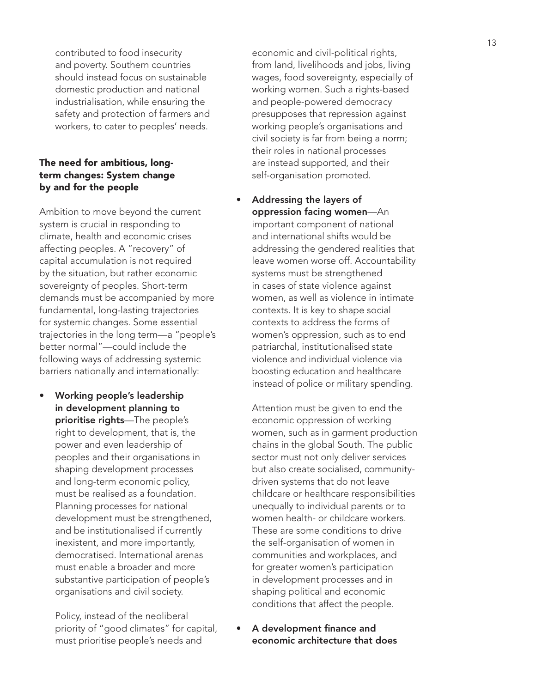contributed to food insecurity and poverty. Southern countries should instead focus on sustainable domestic production and national industrialisation, while ensuring the safety and protection of farmers and workers, to cater to peoples' needs.

# The need for ambitious, longterm changes: System change by and for the people

Ambition to move beyond the current system is crucial in responding to climate, health and economic crises affecting peoples. A "recovery" of capital accumulation is not required by the situation, but rather economic sovereignty of peoples. Short-term demands must be accompanied by more fundamental, long-lasting trajectories for systemic changes. Some essential trajectories in the long term—a "people's better normal"—could include the following ways of addressing systemic barriers nationally and internationally:

• Working people's leadership in development planning to prioritise rights-The people's right to development, that is, the power and even leadership of peoples and their organisations in shaping development processes and long-term economic policy, must be realised as a foundation. Planning processes for national development must be strengthened, and be institutionalised if currently inexistent, and more importantly, democratised. International arenas must enable a broader and more substantive participation of people's organisations and civil society.

Policy, instead of the neoliberal priority of "good climates" for capital, must prioritise people's needs and

economic and civil-political rights, from land, livelihoods and jobs, living wages, food sovereignty, especially of working women. Such a rights-based and people-powered democracy presupposes that repression against working people's organisations and civil society is far from being a norm; their roles in national processes are instead supported, and their self-organisation promoted.

• Addressing the layers of oppression facing women—An important component of national and international shifts would be addressing the gendered realities that leave women worse off. Accountability systems must be strengthened in cases of state violence against women, as well as violence in intimate contexts. It is key to shape social contexts to address the forms of women's oppression, such as to end patriarchal, institutionalised state violence and individual violence via boosting education and healthcare instead of police or military spending.

Attention must be given to end the economic oppression of working women, such as in garment production chains in the global South. The public sector must not only deliver services but also create socialised, communitydriven systems that do not leave childcare or healthcare responsibilities unequally to individual parents or to women health- or childcare workers. These are some conditions to drive the self-organisation of women in communities and workplaces, and for greater women's participation in development processes and in shaping political and economic conditions that affect the people.

• A development finance and economic architecture that does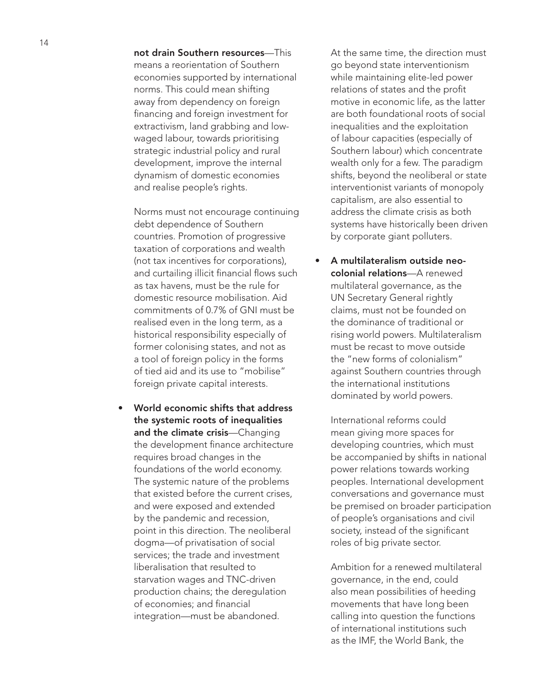not drain Southern resources—This means a reorientation of Southern economies supported by international norms. This could mean shifting away from dependency on foreign financing and foreign investment for extractivism, land grabbing and lowwaged labour, towards prioritising strategic industrial policy and rural development, improve the internal dynamism of domestic economies and realise people's rights.

Norms must not encourage continuing debt dependence of Southern countries. Promotion of progressive taxation of corporations and wealth (not tax incentives for corporations), and curtailing illicit financial flows such as tax havens, must be the rule for domestic resource mobilisation. Aid commitments of 0.7% of GNI must be realised even in the long term, as a historical responsibility especially of former colonising states, and not as a tool of foreign policy in the forms of tied aid and its use to "mobilise" foreign private capital interests.

• World economic shifts that address the systemic roots of inequalities and the climate crisis-Changing the development finance architecture requires broad changes in the foundations of the world economy. The systemic nature of the problems that existed before the current crises, and were exposed and extended by the pandemic and recession, point in this direction. The neoliberal dogma—of privatisation of social services; the trade and investment liberalisation that resulted to starvation wages and TNC-driven production chains; the deregulation of economies; and financial integration—must be abandoned.

At the same time, the direction must go beyond state interventionism while maintaining elite-led power relations of states and the profit motive in economic life, as the latter are both foundational roots of social inequalities and the exploitation of labour capacities (especially of Southern labour) which concentrate wealth only for a few. The paradigm shifts, beyond the neoliberal or state interventionist variants of monopoly capitalism, are also essential to address the climate crisis as both systems have historically been driven by corporate giant polluters.

• A multilateralism outside neocolonial relations—A renewed multilateral governance, as the UN Secretary General rightly claims, must not be founded on the dominance of traditional or rising world powers. Multilateralism must be recast to move outside the "new forms of colonialism" against Southern countries through the international institutions dominated by world powers.

International reforms could mean giving more spaces for developing countries, which must be accompanied by shifts in national power relations towards working peoples. International development conversations and governance must be premised on broader participation of people's organisations and civil society, instead of the significant roles of big private sector.

Ambition for a renewed multilateral governance, in the end, could also mean possibilities of heeding movements that have long been calling into question the functions of international institutions such as the IMF, the World Bank, the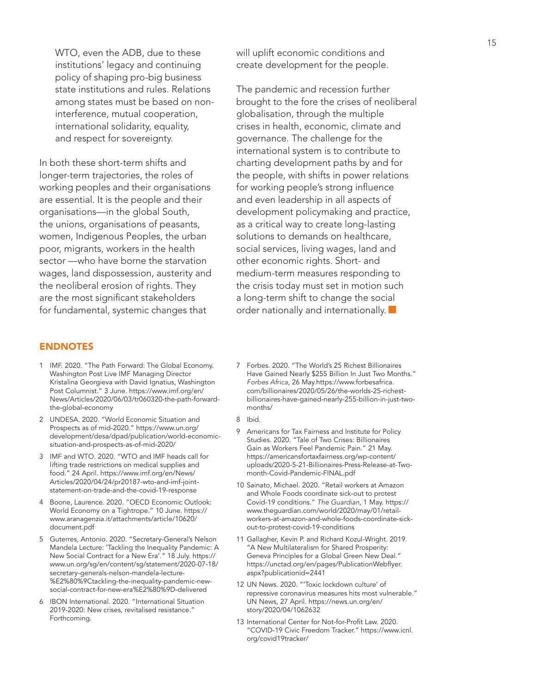WTO, even the ADB, due to these institutions' legacy and continuing policy of shaping pro-big business state institutions and rules. Relations among states must be based on noninterference, mutual cooperation, international solidarity, equality, and respect for sovereignty.

In both these short-term shifts and longer-term trajectories, the roles of working peoples and their organisations are essential. It is the people and their organisations—in the global South, the unions, organisations of peasants, women, Indigenous Peoples, the urban poor, migrants, workers in the health sector —who have borne the starvation wages, land dispossession, austerity and the neoliberal erosion of rights. They are the most significant stakeholders for fundamental, systemic changes that

## ENDNOTES

- 1 IMF. 2020. "The Path Forward: The Global Economy. Washington Post Live IMF Managing Director Kristalina Georgieva with David Ignatius, Washington Post Columnist." 3 June. https://www.imf.org/en/ News/Articles/2020/06/03/tr060320-the-path-forwardthe-global-economy
- 2 UNDESA. 2020. "World Economic Situation and Prospects as of mid-2020." https://www.un.org/ development/desa/dpad/publication/world-economicsituation-and-prospects-as-of-mid-2020/
- 3 IMF and WTO. 2020. "WTO and IMF heads call for lifting trade restrictions on medical supplies and food." 24 April. https://www.imf.org/en/News/ Articles/2020/04/24/pr20187-wto-and-imf-jointstatement-on-trade-and-the-covid-19-response
- 4 Boone, Laurence. 2020. "OECD Economic Outlook: World Economy on a Tightrope." 10 June. https:// www.aranagenzia.it/attachments/article/10620/ document.pdf
- 5 Guterres, Antonio. 2020. "Secretary-General's Nelson Mandela Lecture: 'Tackling the Inequality Pandemic: A New Social Contract for a New Era'." 18 July. https:// www.un.org/sg/en/content/sg/statement/2020-07-18/ secretary-generals-nelson-mandela-lecture- %E2%80%9Ctackling-the-inequality-pandemic-newsocial-contract-for-new-era%E2%80%9D-delivered
- 6 IBON International. 2020. "International Situation 2019-2020: New crises, revitalised resistance." Forthcoming.

will uplift economic conditions and create development for the people.

The pandemic and recession further brought to the fore the crises of neoliberal globalisation, through the multiple crises in health, economic, climate and governance. The challenge for the international system is to contribute to charting development paths by and for the people, with shifts in power relations for working people's strong influence and even leadership in all aspects of development policymaking and practice, as a critical way to create long-lasting solutions to demands on healthcare, social services, living wages, land and other economic rights. Short- and medium-term measures responding to the crisis today must set in motion such a long-term shift to change the social order nationally and internationally.

- 7 Forbes. 2020. "The World's 25 Richest Billionaires Have Gained Nearly \$255 Billion In Just Two Months." *Forbes Africa*, 26 May.https://www.forbesafrica. com/billionaires/2020/05/26/the-worlds-25-richestbillionaires-have-gained-nearly-255-billion-in-just-twomonths/
- 8 Ibid.
- 9 Americans for Tax Fairness and Institute for Policy Studies. 2020. "Tale of Two Crises: Billionaires Gain as Workers Feel Pandemic Pain." 21 May. https://americansfortaxfairness.org/wp-content/ uploads/2020-5-21-Billionaires-Press-Release-at-Twomonth-Covid-Pandemic-FINAL.pdf
- 10 Sainato, Michael. 2020. "Retail workers at Amazon and Whole Foods coordinate sick-out to protest Covid-19 conditions." *The Guardian*, 1 May. https:// www.theguardian.com/world/2020/may/01/retailworkers-at-amazon-and-whole-foods-coordinate-sickout-to-protest-covid-19-conditions
- 11 Gallagher, Kevin P. and Richard Kozul-Wright. 2019. "A New Multilateralism for Shared Prosperity: Geneva Principles for a Global Green New Deal." https://unctad.org/en/pages/PublicationWebflyer. aspx?publicationid=2441
- 12 UN News. 2020. "'Toxic lockdown culture' of repressive coronavirus measures hits most vulnerable." UN News, 27 April. https://news.un.org/en/ story/2020/04/1062632
- 13 International Center for Not-for-Profit Law. 2020. "COVID-19 Civic Freedom Tracker." https://www.icnl. org/covid19tracker/